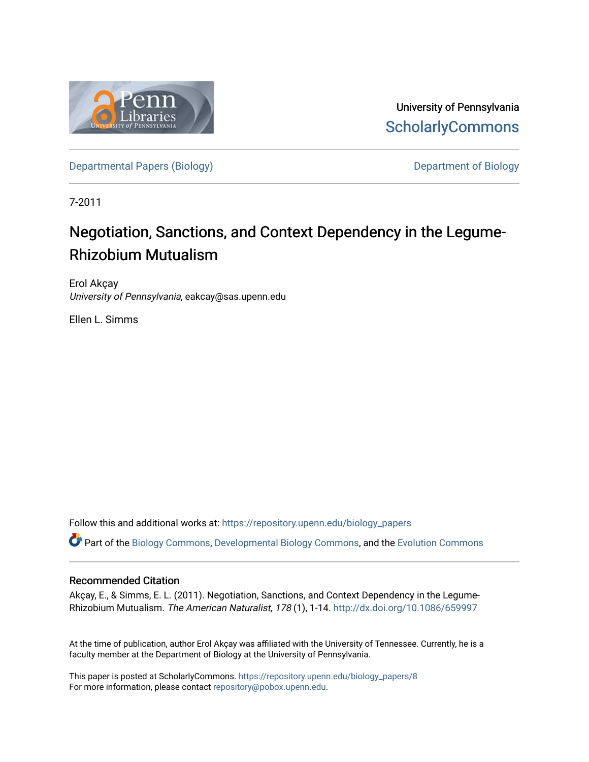

University of Pennsylvania **ScholarlyCommons** 

[Departmental Papers \(Biology\)](https://repository.upenn.edu/biology_papers) and Department of Biology

7-2011

## Negotiation, Sanctions, and Context Dependency in the Legume-Rhizobium Mutualism

Erol Akçay University of Pennsylvania, eakcay@sas.upenn.edu

Ellen L. Simms

Follow this and additional works at: [https://repository.upenn.edu/biology\\_papers](https://repository.upenn.edu/biology_papers?utm_source=repository.upenn.edu%2Fbiology_papers%2F8&utm_medium=PDF&utm_campaign=PDFCoverPages) 

Part of the [Biology Commons,](http://network.bepress.com/hgg/discipline/41?utm_source=repository.upenn.edu%2Fbiology_papers%2F8&utm_medium=PDF&utm_campaign=PDFCoverPages) [Developmental Biology Commons](http://network.bepress.com/hgg/discipline/11?utm_source=repository.upenn.edu%2Fbiology_papers%2F8&utm_medium=PDF&utm_campaign=PDFCoverPages), and the [Evolution Commons](http://network.bepress.com/hgg/discipline/18?utm_source=repository.upenn.edu%2Fbiology_papers%2F8&utm_medium=PDF&utm_campaign=PDFCoverPages) 

### Recommended Citation

Akçay, E., & Simms, E. L. (2011). Negotiation, Sanctions, and Context Dependency in the Legume-Rhizobium Mutualism. The American Naturalist, 178 (1), 1-14. <http://dx.doi.org/10.1086/659997>

At the time of publication, author Erol Akçay was affiliated with the University of Tennessee. Currently, he is a faculty member at the Department of Biology at the University of Pennsylvania.

This paper is posted at ScholarlyCommons. [https://repository.upenn.edu/biology\\_papers/8](https://repository.upenn.edu/biology_papers/8) For more information, please contact [repository@pobox.upenn.edu.](mailto:repository@pobox.upenn.edu)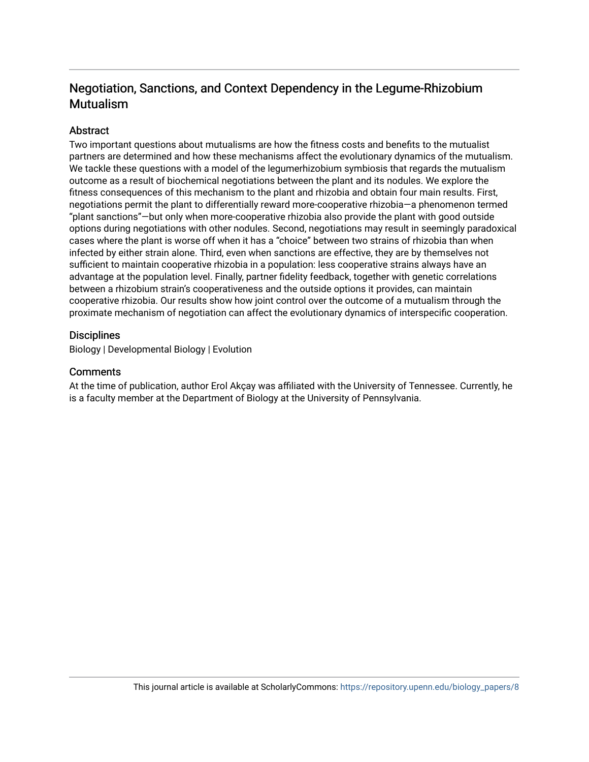## Negotiation, Sanctions, and Context Dependency in the Legume-Rhizobium Mutualism

## Abstract

Two important questions about mutualisms are how the fitness costs and benefits to the mutualist partners are determined and how these mechanisms affect the evolutionary dynamics of the mutualism. We tackle these questions with a model of the legumerhizobium symbiosis that regards the mutualism outcome as a result of biochemical negotiations between the plant and its nodules. We explore the fitness consequences of this mechanism to the plant and rhizobia and obtain four main results. First, negotiations permit the plant to differentially reward more-cooperative rhizobia—a phenomenon termed "plant sanctions"—but only when more-cooperative rhizobia also provide the plant with good outside options during negotiations with other nodules. Second, negotiations may result in seemingly paradoxical cases where the plant is worse off when it has a "choice" between two strains of rhizobia than when infected by either strain alone. Third, even when sanctions are effective, they are by themselves not sufficient to maintain cooperative rhizobia in a population: less cooperative strains always have an advantage at the population level. Finally, partner fidelity feedback, together with genetic correlations between a rhizobium strain's cooperativeness and the outside options it provides, can maintain cooperative rhizobia. Our results show how joint control over the outcome of a mutualism through the proximate mechanism of negotiation can affect the evolutionary dynamics of interspecific cooperation.

## **Disciplines**

Biology | Developmental Biology | Evolution

## **Comments**

At the time of publication, author Erol Akçay was affiliated with the University of Tennessee. Currently, he is a faculty member at the Department of Biology at the University of Pennsylvania.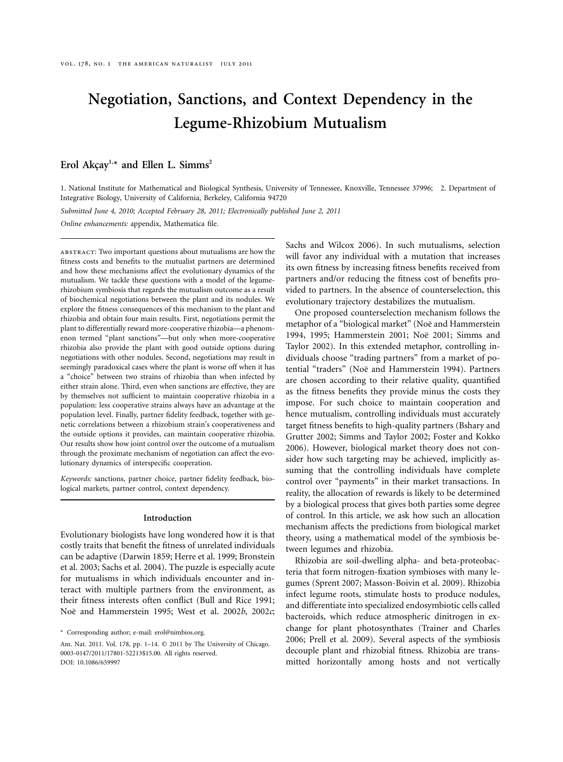# **Negotiation, Sanctions, and Context Dependency in the Legume-Rhizobium Mutualism**

## Erol Akçay<sup>1,\*</sup> and Ellen L. Simms<sup>2</sup>

1. National Institute for Mathematical and Biological Synthesis, University of Tennessee, Knoxville, Tennessee 37996; 2. Department of Integrative Biology, University of California, Berkeley, California 94720

*Submitted June 4, 2010; Accepted February 28, 2011; Electronically published June 2, 2011*

*Online enhancements:* appendix, Mathematica file.

abstract: Two important questions about mutualisms are how the fitness costs and benefits to the mutualist partners are determined and how these mechanisms affect the evolutionary dynamics of the mutualism. We tackle these questions with a model of the legumerhizobium symbiosis that regards the mutualism outcome as a result of biochemical negotiations between the plant and its nodules. We explore the fitness consequences of this mechanism to the plant and rhizobia and obtain four main results. First, negotiations permit the plant to differentially reward more-cooperative rhizobia—a phenomenon termed "plant sanctions"—but only when more-cooperative rhizobia also provide the plant with good outside options during negotiations with other nodules. Second, negotiations may result in seemingly paradoxical cases where the plant is worse off when it has a "choice" between two strains of rhizobia than when infected by either strain alone. Third, even when sanctions are effective, they are by themselves not sufficient to maintain cooperative rhizobia in a population: less cooperative strains always have an advantage at the population level. Finally, partner fidelity feedback, together with genetic correlations between a rhizobium strain's cooperativeness and the outside options it provides, can maintain cooperative rhizobia. Our results show how joint control over the outcome of a mutualism through the proximate mechanism of negotiation can affect the evolutionary dynamics of interspecific cooperation.

*Keywords:* sanctions, partner choice, partner fidelity feedback, biological markets, partner control, context dependency.

#### **Introduction**

Evolutionary biologists have long wondered how it is that costly traits that benefit the fitness of unrelated individuals can be adaptive (Darwin 1859; Herre et al. 1999; Bronstein et al. 2003; Sachs et al. 2004). The puzzle is especially acute for mutualisms in which individuals encounter and interact with multiple partners from the environment, as their fitness interests often conflict (Bull and Rice 1991; Noe¨ and Hammerstein 1995; West et al. 2002*b*, 2002*c*;

Sachs and Wilcox 2006). In such mutualisms, selection will favor any individual with a mutation that increases its own fitness by increasing fitness benefits received from partners and/or reducing the fitness cost of benefits provided to partners. In the absence of counterselection, this evolutionary trajectory destabilizes the mutualism.

One proposed counterselection mechanism follows the metaphor of a "biological market" (Noë and Hammerstein 1994, 1995; Hammerstein 2001; Noe¨ 2001; Simms and Taylor 2002). In this extended metaphor, controlling individuals choose "trading partners" from a market of potential "traders" (Noë and Hammerstein 1994). Partners are chosen according to their relative quality, quantified as the fitness benefits they provide minus the costs they impose. For such choice to maintain cooperation and hence mutualism, controlling individuals must accurately target fitness benefits to high-quality partners (Bshary and Grutter 2002; Simms and Taylor 2002; Foster and Kokko 2006). However, biological market theory does not consider how such targeting may be achieved, implicitly assuming that the controlling individuals have complete control over "payments" in their market transactions. In reality, the allocation of rewards is likely to be determined by a biological process that gives both parties some degree of control. In this article, we ask how such an allocation mechanism affects the predictions from biological market theory, using a mathematical model of the symbiosis between legumes and rhizobia.

Rhizobia are soil-dwelling alpha- and beta-proteobacteria that form nitrogen-fixation symbioses with many legumes (Sprent 2007; Masson-Boivin et al. 2009). Rhizobia infect legume roots, stimulate hosts to produce nodules, and differentiate into specialized endosymbiotic cells called bacteroids, which reduce atmospheric dinitrogen in exchange for plant photosynthates (Trainer and Charles 2006; Prell et al. 2009). Several aspects of the symbiosis decouple plant and rhizobial fitness. Rhizobia are transmitted horizontally among hosts and not vertically

<sup>\*</sup> Corresponding author; e-mail: [erol@nimbios.org.](mailto:erol@nimbios.org)

Am. Nat. 2011. Vol. 178, pp. 1-14. © 2011 by The University of Chicago. 0003-0147/2011/17801-52213\$15.00. All rights reserved. DOI: 10.1086/659997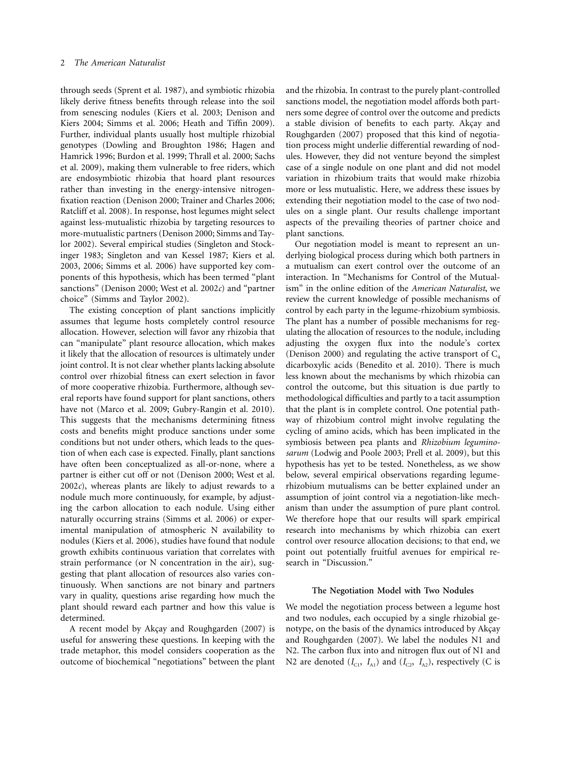through seeds (Sprent et al. 1987), and symbiotic rhizobia likely derive fitness benefits through release into the soil from senescing nodules (Kiers et al. 2003; Denison and Kiers 2004; Simms et al. 2006; Heath and Tiffin 2009). Further, individual plants usually host multiple rhizobial genotypes (Dowling and Broughton 1986; Hagen and Hamrick 1996; Burdon et al. 1999; Thrall et al. 2000; Sachs et al. 2009), making them vulnerable to free riders, which are endosymbiotic rhizobia that hoard plant resources rather than investing in the energy-intensive nitrogenfixation reaction (Denison 2000; Trainer and Charles 2006; Ratcliff et al. 2008). In response, host legumes might select against less-mutualistic rhizobia by targeting resources to more-mutualistic partners (Denison 2000; Simms and Taylor 2002). Several empirical studies (Singleton and Stockinger 1983; Singleton and van Kessel 1987; Kiers et al. 2003, 2006; Simms et al. 2006) have supported key components of this hypothesis, which has been termed "plant sanctions" (Denison 2000; West et al. 2002*c*) and "partner choice" (Simms and Taylor 2002).

The existing conception of plant sanctions implicitly assumes that legume hosts completely control resource allocation. However, selection will favor any rhizobia that can "manipulate" plant resource allocation, which makes it likely that the allocation of resources is ultimately under joint control. It is not clear whether plants lacking absolute control over rhizobial fitness can exert selection in favor of more cooperative rhizobia. Furthermore, although several reports have found support for plant sanctions, others have not (Marco et al. 2009; Gubry-Rangin et al. 2010). This suggests that the mechanisms determining fitness costs and benefits might produce sanctions under some conditions but not under others, which leads to the question of when each case is expected. Finally, plant sanctions have often been conceptualized as all-or-none, where a partner is either cut off or not (Denison 2000; West et al. 2002*c*), whereas plants are likely to adjust rewards to a nodule much more continuously, for example, by adjusting the carbon allocation to each nodule. Using either naturally occurring strains (Simms et al. 2006) or experimental manipulation of atmospheric N availability to nodules (Kiers et al. 2006), studies have found that nodule growth exhibits continuous variation that correlates with strain performance (or N concentration in the air), suggesting that plant allocation of resources also varies continuously. When sanctions are not binary and partners vary in quality, questions arise regarding how much the plant should reward each partner and how this value is determined.

A recent model by Akçay and Roughgarden (2007) is useful for answering these questions. In keeping with the trade metaphor, this model considers cooperation as the outcome of biochemical "negotiations" between the plant and the rhizobia. In contrast to the purely plant-controlled sanctions model, the negotiation model affords both partners some degree of control over the outcome and predicts a stable division of benefits to each party. Akçay and Roughgarden (2007) proposed that this kind of negotiation process might underlie differential rewarding of nodules. However, they did not venture beyond the simplest case of a single nodule on one plant and did not model variation in rhizobium traits that would make rhizobia more or less mutualistic. Here, we address these issues by extending their negotiation model to the case of two nodules on a single plant. Our results challenge important aspects of the prevailing theories of partner choice and plant sanctions.

Our negotiation model is meant to represent an underlying biological process during which both partners in a mutualism can exert control over the outcome of an interaction. In "Mechanisms for Control of the Mutualism" in the online edition of the *American Naturalist*, we review the current knowledge of possible mechanisms of control by each party in the legume-rhizobium symbiosis. The plant has a number of possible mechanisms for regulating the allocation of resources to the nodule, including adjusting the oxygen flux into the nodule's cortex (Denison 2000) and regulating the active transport of  $C_4$ dicarboxylic acids (Benedito et al. 2010). There is much less known about the mechanisms by which rhizobia can control the outcome, but this situation is due partly to methodological difficulties and partly to a tacit assumption that the plant is in complete control. One potential pathway of rhizobium control might involve regulating the cycling of amino acids, which has been implicated in the symbiosis between pea plants and *Rhizobium leguminosarum* (Lodwig and Poole 2003; Prell et al. 2009), but this hypothesis has yet to be tested. Nonetheless, as we show below, several empirical observations regarding legumerhizobium mutualisms can be better explained under an assumption of joint control via a negotiation-like mechanism than under the assumption of pure plant control. We therefore hope that our results will spark empirical research into mechanisms by which rhizobia can exert control over resource allocation decisions; to that end, we point out potentially fruitful avenues for empirical research in "Discussion."

#### **The Negotiation Model with Two Nodules**

We model the negotiation process between a legume host and two nodules, each occupied by a single rhizobial genotype, on the basis of the dynamics introduced by Akçay and Roughgarden (2007). We label the nodules N1 and N2. The carbon flux into and nitrogen flux out of N1 and N2 are denoted  $(I_{C1}, I_{A1})$  and  $(I_{C2}, I_{A2})$ , respectively (C is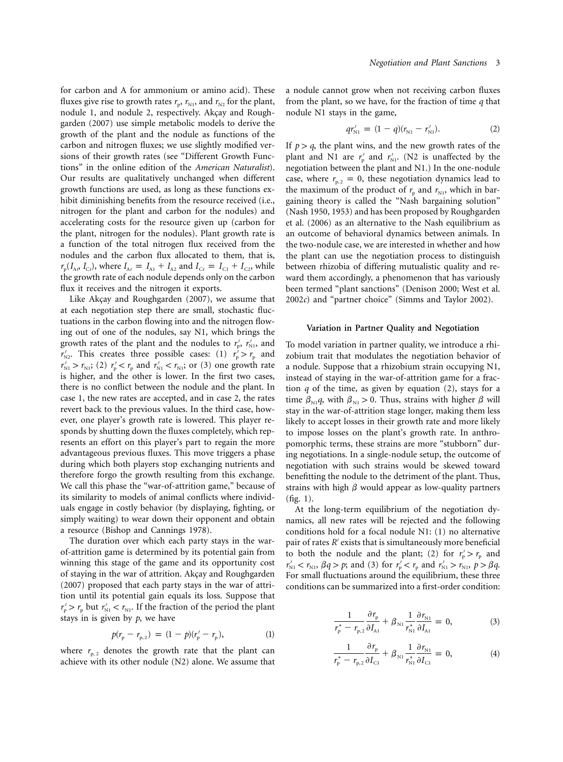for carbon and A for ammonium or amino acid). These fluxes give rise to growth rates  $r_p$ ,  $r_{N1}$ , and  $r_{N2}$  for the plant, nodule 1, and nodule 2, respectively. Akçay and Roughgarden (2007) use simple metabolic models to derive the growth of the plant and the nodule as functions of the carbon and nitrogen fluxes; we use slightly modified versions of their growth rates (see "Different Growth Functions" in the online edition of the *American Naturalist*). Our results are qualitatively unchanged when different growth functions are used, as long as these functions exhibit diminishing benefits from the resource received (i.e., nitrogen for the plant and carbon for the nodules) and accelerating costs for the resource given up (carbon for the plant, nitrogen for the nodules). Plant growth rate is a function of the total nitrogen flux received from the nodules and the carbon flux allocated to them, that is,  $r_{\rm p}(I_{\rm A}$ ,  $I_{\rm C}$ , where  $I_{\rm At} = I_{\rm A1} + I_{\rm A2}$  and  $I_{\rm C} = I_{\rm C1} + I_{\rm C2}$ , while the growth rate of each nodule depends only on the carbon flux it receives and the nitrogen it exports.

Like Akçay and Roughgarden (2007), we assume that at each negotiation step there are small, stochastic fluctuations in the carbon flowing into and the nitrogen flowing out of one of the nodules, say N1, which brings the growth rates of the plant and the nodules to  $r'_p$ ,  $r'_{N1}$ , and  $r'_{N2}$ . This creates three possible cases: (1)  $r'_{p} > r_{p}$  and  $r'_{\text{N1}} > r_{\text{N1}}$ ; (2)  $r'_{\text{p}} < r_{\text{p}}$  and  $r'_{\text{N1}} < r_{\text{N1}}$ ; or (3) one growth rate is higher, and the other is lower. In the first two cases, there is no conflict between the nodule and the plant. In case 1, the new rates are accepted, and in case 2, the rates revert back to the previous values. In the third case, however, one player's growth rate is lowered. This player responds by shutting down the fluxes completely, which represents an effort on this player's part to regain the more advantageous previous fluxes. This move triggers a phase during which both players stop exchanging nutrients and therefore forgo the growth resulting from this exchange. We call this phase the "war-of-attrition game," because of its similarity to models of animal conflicts where individuals engage in costly behavior (by displaying, fighting, or simply waiting) to wear down their opponent and obtain a resource (Bishop and Cannings 1978).

The duration over which each party stays in the warof-attrition game is determined by its potential gain from winning this stage of the game and its opportunity cost of staying in the war of attrition. Akcay and Roughgarden (2007) proposed that each party stays in the war of attrition until its potential gain equals its loss. Suppose that  $r'_{p} > r_{p}$  but  $r'_{N1} < r_{N1}$ . If the fraction of the period the plant stays in is given by *p*, we have

$$
p(r_{\rm p} - r_{\rm p,2}) = (1 - p)(r_{\rm p}' - r_{\rm p}), \tag{1}
$$

where  $r_{p,2}$  denotes the growth rate that the plant can achieve with its other nodule (N2) alone. We assume that a nodule cannot grow when not receiving carbon fluxes from the plant, so we have, for the fraction of time *q* that nodule N1 stays in the game,

$$
qr'_{N1} = (1 - q)(r_{N1} - r'_{N1}). \tag{2}
$$

If  $p > q$ , the plant wins, and the new growth rates of the plant and N1 are  $r'_p$  and  $r'_{N1}$ . (N2 is unaffected by the negotiation between the plant and N1.) In the one-nodule case, where  $r_{p,2} = 0$ , these negotiation dynamics lead to the maximum of the product of  $r_p$  and  $r_{N1}$ , which in bargaining theory is called the "Nash bargaining solution" (Nash 1950, 1953) and has been proposed by Roughgarden et al. (2006) as an alternative to the Nash equilibrium as an outcome of behavioral dynamics between animals. In the two-nodule case, we are interested in whether and how the plant can use the negotiation process to distinguish between rhizobia of differing mutualistic quality and reward them accordingly, a phenomenon that has variously been termed "plant sanctions" (Denison 2000; West et al. 2002*c*) and "partner choice" (Simms and Taylor 2002).

#### **Variation in Partner Quality and Negotiation**

To model variation in partner quality, we introduce a rhizobium trait that modulates the negotiation behavior of a nodule. Suppose that a rhizobium strain occupying N1, instead of staying in the war-of-attrition game for a fraction *q* of the time, as given by equation (2), stays for a time  $\beta_{N1}q$ , with  $\beta_{N1} > 0$ . Thus, strains with higher  $\beta$  will stay in the war-of-attrition stage longer, making them less likely to accept losses in their growth rate and more likely to impose losses on the plant's growth rate. In anthropomorphic terms, these strains are more "stubborn" during negotiations. In a single-nodule setup, the outcome of negotiation with such strains would be skewed toward benefitting the nodule to the detriment of the plant. Thus, strains with high  $\beta$  would appear as low-quality partners (fig. 1).

At the long-term equilibrium of the negotiation dynamics, all new rates will be rejected and the following conditions hold for a focal nodule N1: (1) no alternative pair of rates *R'* exists that is simultaneously more beneficial to both the nodule and the plant; (2) for  $r'_p > r_p$  and  $r'_{N1} < r_{N1}$ ,  $\beta q > p$ ; and (3) for  $r'_{p} < r_{p}$  and  $r'_{N1} > r_{N1}$ ,  $p > \beta q$ . For small fluctuations around the equilibrium, these three conditions can be summarized into a first-order condition:

$$
\frac{1}{r_{\rm p}^* - r_{\rm p,2}} \frac{\partial r_{\rm p}}{\partial I_{\rm Al}} + \beta_{\rm N1} \frac{1}{r_{\rm N1}^*} \frac{\partial r_{\rm N1}}{\partial I_{\rm Al}} = 0, \tag{3}
$$

$$
\frac{1}{r_{\rm p}^* - r_{\rm p,2}} \frac{\partial r_{\rm p}}{\partial I_{\rm Cl}} + \beta_{\rm N1} \frac{1}{r_{\rm N1}^*} \frac{\partial r_{\rm N1}}{\partial I_{\rm Cl}} = 0, \tag{4}
$$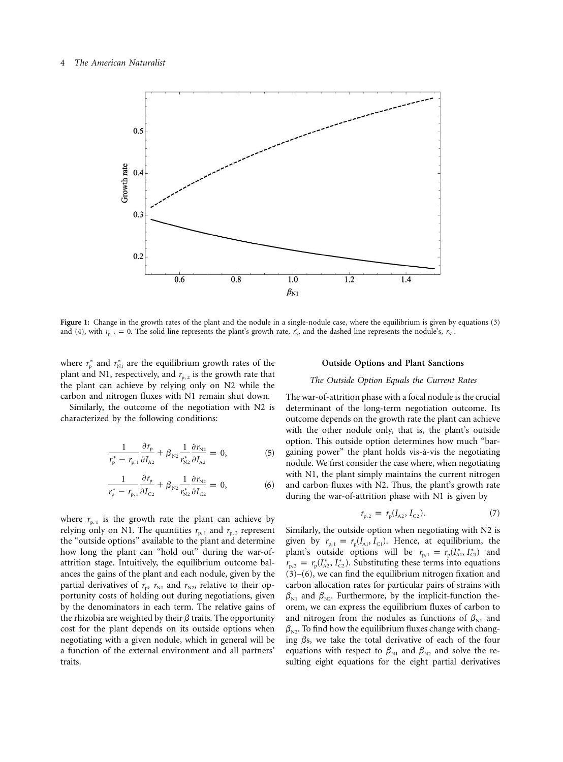#### 4 *The American Naturalist*



**Figure 1:** Change in the growth rates of the plant and the nodule in a single-nodule case, where the equilibrium is given by equations (3) and (4), with  $r_{p,2} = 0$ . The solid line represents the plant's growth rate,  $r_p^*$ , and the dashed line represents the nodule's,  $r_{N1}$ .

where  $r_p^*$  and  $r_{\rm{N1}}^*$  are the equilibrium growth rates of the plant and N1, respectively, and  $r_{p, 2}$  is the growth rate that the plant can achieve by relying only on N2 while the carbon and nitrogen fluxes with N1 remain shut down.

Similarly, the outcome of the negotiation with N2 is characterized by the following conditions:

$$
\frac{1}{r_{\rm p}^* - r_{\rm p,1}} \frac{\partial r_{\rm p}}{\partial I_{\rm A2}} + \beta_{\rm N2} \frac{1}{r_{\rm N2}^*} \frac{\partial r_{\rm N2}}{\partial I_{\rm A2}} = 0, \tag{5}
$$

$$
\frac{1}{r_{\rm p}^* - r_{\rm p,1}} \frac{\partial r_{\rm p}}{\partial I_{\rm C2}} + \beta_{\rm N2} \frac{1}{r_{\rm N2}^*} \frac{\partial r_{\rm N2}}{\partial I_{\rm C2}} = 0, \tag{6}
$$

where  $r_{p,1}$  is the growth rate the plant can achieve by relying only on N1. The quantities  $r_{p,1}$  and  $r_{p,2}$  represent the "outside options" available to the plant and determine how long the plant can "hold out" during the war-ofattrition stage. Intuitively, the equilibrium outcome balances the gains of the plant and each nodule, given by the partial derivatives of  $r_p$ ,  $r_{N1}$  and  $r_{N2}$ , relative to their opportunity costs of holding out during negotiations, given by the denominators in each term. The relative gains of the rhizobia are weighted by their  $\beta$  traits. The opportunity cost for the plant depends on its outside options when negotiating with a given nodule, which in general will be a function of the external environment and all partners' traits.

#### **Outside Options and Plant Sanctions**

#### *The Outside Option Equals the Current Rates*

The war-of-attrition phase with a focal nodule is the crucial determinant of the long-term negotiation outcome. Its outcome depends on the growth rate the plant can achieve with the other nodule only, that is, the plant's outside option. This outside option determines how much "bargaining power" the plant holds vis-a`-vis the negotiating nodule. We first consider the case where, when negotiating with N1, the plant simply maintains the current nitrogen and carbon fluxes with N2. Thus, the plant's growth rate during the war-of-attrition phase with N1 is given by

$$
r_{p,2} = r_p(I_{A2}, I_{C2}). \tag{7}
$$

Similarly, the outside option when negotiating with N2 is given by  $r_{p,1} = r_p (I_{A1}, I_{C1})$ . Hence, at equilibrium, the plant's outside options will be  $r_{p,1} = r_p (I_{A1}^*, I_{C1}^*)$  and  $r_{p,2} = r_p(I_{A2}^*, I_{C2}^*)$ . Substituting these terms into equations (3)–(6), we can find the equilibrium nitrogen fixation and carbon allocation rates for particular pairs of strains with  $\beta_{N1}$  and  $\beta_{N2}$ . Furthermore, by the implicit-function theorem, we can express the equilibrium fluxes of carbon to and nitrogen from the nodules as functions of  $\beta_{N1}$  and  $\beta_{N2}$ . To find how the equilibrium fluxes change with changing  $\beta$ s, we take the total derivative of each of the four equations with respect to  $\beta_{N1}$  and  $\beta_{N2}$  and solve the resulting eight equations for the eight partial derivatives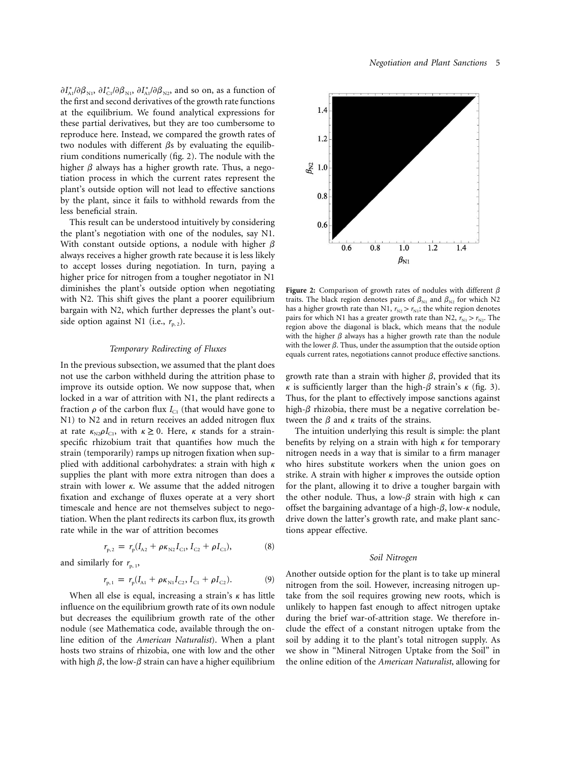$\partial I_{\text{Al}}^* / \partial \beta_{\text{N1}}$ ,  $\partial I_{\text{Cl}}^* / \partial \beta_{\text{N1}}$ ,  $\partial I_{\text{Al}}^* / \partial \beta_{\text{N2}}$ , and so on, as a function of the first and second derivatives of the growth rate functions at the equilibrium. We found analytical expressions for these partial derivatives, but they are too cumbersome to reproduce here. Instead, we compared the growth rates of two nodules with different  $\beta s$  by evaluating the equilibrium conditions numerically (fig. 2). The nodule with the higher  $\beta$  always has a higher growth rate. Thus, a negotiation process in which the current rates represent the plant's outside option will not lead to effective sanctions by the plant, since it fails to withhold rewards from the less beneficial strain.

This result can be understood intuitively by considering the plant's negotiation with one of the nodules, say N1. With constant outside options, a nodule with higher  $\beta$ always receives a higher growth rate because it is less likely to accept losses during negotiation. In turn, paying a higher price for nitrogen from a tougher negotiator in N1 diminishes the plant's outside option when negotiating with N2. This shift gives the plant a poorer equilibrium bargain with N2, which further depresses the plant's outside option against N1 (i.e.,  $r_{p,2}$ ).

#### *Temporary Redirecting of Fluxes*

In the previous subsection, we assumed that the plant does not use the carbon withheld during the attrition phase to improve its outside option. We now suppose that, when locked in a war of attrition with N1, the plant redirects a fraction  $\rho$  of the carbon flux  $I_{C1}$  (that would have gone to N1) to N2 and in return receives an added nitrogen flux at rate  $\kappa_{N2}\rho I_{C1}$ , with  $\kappa \geq 0$ . Here,  $\kappa$  stands for a strainspecific rhizobium trait that quantifies how much the strain (temporarily) ramps up nitrogen fixation when supplied with additional carbohydrates: a strain with high  $\kappa$ supplies the plant with more extra nitrogen than does a strain with lower  $\kappa$ . We assume that the added nitrogen fixation and exchange of fluxes operate at a very short timescale and hence are not themselves subject to negotiation. When the plant redirects its carbon flux, its growth rate while in the war of attrition becomes

$$
r_{p,2} = r_p (I_{A2} + \rho \kappa_{N2} I_{C1}, I_{C2} + \rho I_{C1}),
$$
 (8)

and similarly for  $r_{p,1}$ ,

$$
r_{p,1} = r_p(I_{A1} + \rho \kappa_{N1} I_{C2}, I_{C1} + \rho I_{C2}).
$$
 (9)

When all else is equal, increasing a strain's  $\kappa$  has little influence on the equilibrium growth rate of its own nodule but decreases the equilibrium growth rate of the other nodule (see Mathematica code, available through the online edition of the *American Naturalist*). When a plant hosts two strains of rhizobia, one with low and the other with high  $\beta$ , the low- $\beta$  strain can have a higher equilibrium



**Figure 2:** Comparison of growth rates of nodules with different  $\beta$ traits. The black region denotes pairs of  $\beta_{N1}$  and  $\beta_{N2}$  for which N2 has a higher growth rate than N1,  $r_{N2} > r_{N1}$ ; the white region denotes pairs for which N1 has a greater growth rate than N2,  $r_{\rm N1} > r_{\rm N2}$ . The region above the diagonal is black, which means that the nodule with the higher  $\beta$  always has a higher growth rate than the nodule with the lower  $\beta$ . Thus, under the assumption that the outside option equals current rates, negotiations cannot produce effective sanctions.

growth rate than a strain with higher  $\beta$ , provided that its  $\kappa$  is sufficiently larger than the high- $\beta$  strain's  $\kappa$  (fig. 3). Thus, for the plant to effectively impose sanctions against high- $\beta$  rhizobia, there must be a negative correlation between the  $\beta$  and  $\kappa$  traits of the strains.

The intuition underlying this result is simple: the plant benefits by relying on a strain with high  $\kappa$  for temporary nitrogen needs in a way that is similar to a firm manager who hires substitute workers when the union goes on strike. A strain with higher  $\kappa$  improves the outside option for the plant, allowing it to drive a tougher bargain with the other nodule. Thus, a low- $\beta$  strain with high  $\kappa$  can offset the bargaining advantage of a high- $\beta$ , low- $\kappa$  nodule, drive down the latter's growth rate, and make plant sanctions appear effective.

#### *Soil Nitrogen*

Another outside option for the plant is to take up mineral nitrogen from the soil. However, increasing nitrogen uptake from the soil requires growing new roots, which is unlikely to happen fast enough to affect nitrogen uptake during the brief war-of-attrition stage. We therefore include the effect of a constant nitrogen uptake from the soil by adding it to the plant's total nitrogen supply. As we show in "Mineral Nitrogen Uptake from the Soil" in the online edition of the *American Naturalist*, allowing for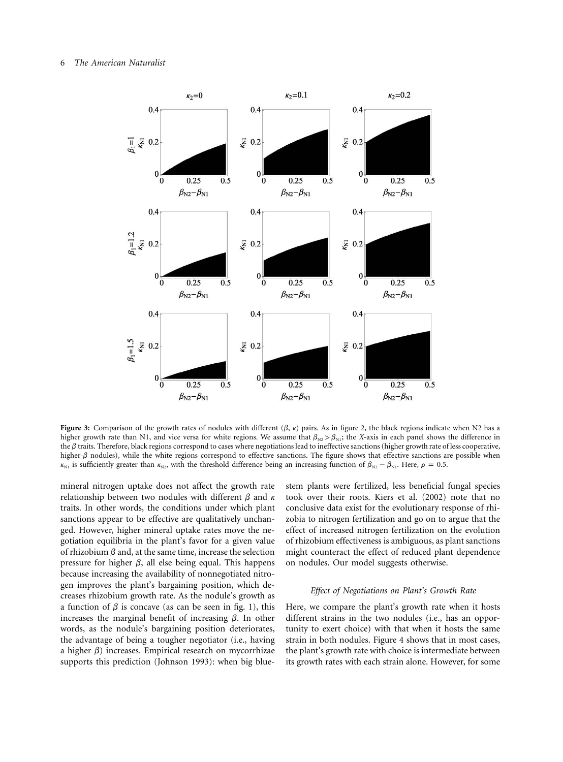#### 6 *The American Naturalist*



**Figure 3:** Comparison of the growth rates of nodules with different  $(\beta, \kappa)$  pairs. As in figure 2, the black regions indicate when N2 has a higher growth rate than N1, and vice versa for white regions. We assume that  $\beta_{N2} > \beta_{N1}$ ; the X-axis in each panel shows the difference in the  $\beta$  traits. Therefore, black regions correspond to cases where negotiations lead to ineffective sanctions (higher growth rate of less cooperative, higher- $\beta$  nodules), while the white regions correspond to effective sanctions. The figure shows that effective sanctions are possible when  $\kappa_{N1}$  is sufficiently greater than  $\kappa_{N2}$ , with the threshold difference being an increasing function of  $\beta_{N2} - \beta_{N1}$ . Here,  $\rho = 0.5$ .

mineral nitrogen uptake does not affect the growth rate relationship between two nodules with different  $\beta$  and  $\kappa$ traits. In other words, the conditions under which plant sanctions appear to be effective are qualitatively unchanged. However, higher mineral uptake rates move the negotiation equilibria in the plant's favor for a given value of rhizobium  $\beta$  and, at the same time, increase the selection pressure for higher  $\beta$ , all else being equal. This happens because increasing the availability of nonnegotiated nitrogen improves the plant's bargaining position, which decreases rhizobium growth rate. As the nodule's growth as a function of  $\beta$  is concave (as can be seen in fig. 1), this increases the marginal benefit of increasing  $\beta$ . In other words, as the nodule's bargaining position deteriorates, the advantage of being a tougher negotiator (i.e., having a higher  $\beta$ ) increases. Empirical research on mycorrhizae supports this prediction (Johnson 1993): when big bluestem plants were fertilized, less beneficial fungal species took over their roots. Kiers et al. (2002) note that no conclusive data exist for the evolutionary response of rhizobia to nitrogen fertilization and go on to argue that the effect of increased nitrogen fertilization on the evolution of rhizobium effectiveness is ambiguous, as plant sanctions might counteract the effect of reduced plant dependence on nodules. Our model suggests otherwise.

#### *Effect of Negotiations on Plant's Growth Rate*

Here, we compare the plant's growth rate when it hosts different strains in the two nodules (i.e., has an opportunity to exert choice) with that when it hosts the same strain in both nodules. Figure 4 shows that in most cases, the plant's growth rate with choice is intermediate between its growth rates with each strain alone. However, for some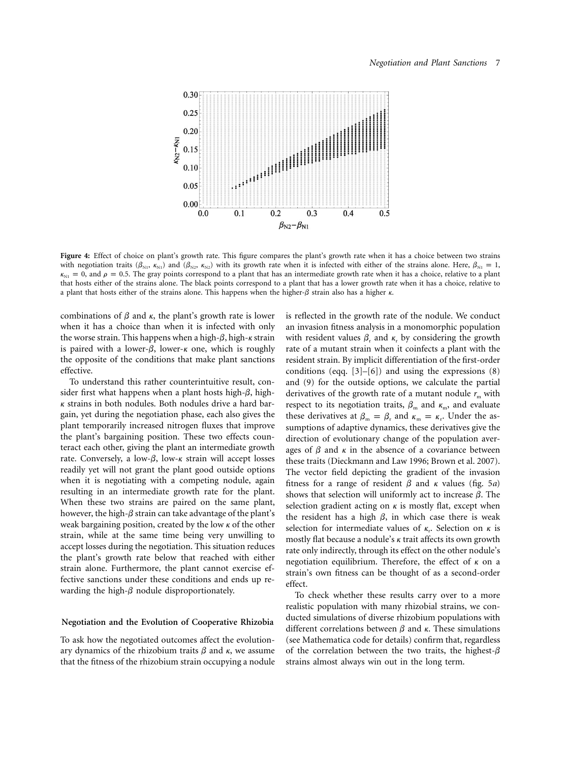

**Figure 4:** Effect of choice on plant's growth rate. This figure compares the plant's growth rate when it has a choice between two strains with negotiation traits ( $\beta_{N1}$ ,  $\kappa_{N1}$ ) and ( $\beta_{N2}$ ,  $\kappa_{N2}$ ) with its growth rate when it is infected with either of the strains alone. Here,  $\beta_{N1} = 1$ ,  $k_{\text{N1}} = 0$ , and  $\rho = 0.5$ . The gray points correspond to a plant that has an intermediate growth rate when it has a choice, relative to a plant that hosts either of the strains alone. The black points correspond to a plant that has a lower growth rate when it has a choice, relative to a plant that hosts either of the strains alone. This happens when the higher- $\beta$  strain also has a higher  $\kappa$ .

combinations of  $\beta$  and  $\kappa$ , the plant's growth rate is lower when it has a choice than when it is infected with only the worse strain. This happens when a high- $\beta$ , high- $\kappa$  strain is paired with a lower- $\beta$ , lower- $\kappa$  one, which is roughly the opposite of the conditions that make plant sanctions effective.

To understand this rather counterintuitive result, consider first what happens when a plant hosts high- $\beta$ , high- $\kappa$  strains in both nodules. Both nodules drive a hard bargain, yet during the negotiation phase, each also gives the plant temporarily increased nitrogen fluxes that improve the plant's bargaining position. These two effects counteract each other, giving the plant an intermediate growth rate. Conversely, a low- $\beta$ , low- $\kappa$  strain will accept losses readily yet will not grant the plant good outside options when it is negotiating with a competing nodule, again resulting in an intermediate growth rate for the plant. When these two strains are paired on the same plant, however, the high- $\beta$  strain can take advantage of the plant's weak bargaining position, created by the low  $\kappa$  of the other strain, while at the same time being very unwilling to accept losses during the negotiation. This situation reduces the plant's growth rate below that reached with either strain alone. Furthermore, the plant cannot exercise effective sanctions under these conditions and ends up rewarding the high- $\beta$  nodule disproportionately.

#### **Negotiation and the Evolution of Cooperative Rhizobia**

To ask how the negotiated outcomes affect the evolutionary dynamics of the rhizobium traits  $\beta$  and  $\kappa$ , we assume that the fitness of the rhizobium strain occupying a nodule is reflected in the growth rate of the nodule. We conduct an invasion fitness analysis in a monomorphic population with resident values  $\beta_r$  and  $\kappa_r$  by considering the growth rate of a mutant strain when it coinfects a plant with the resident strain. By implicit differentiation of the first-order conditions (eqq.  $[3]$ – $[6]$ ) and using the expressions  $(8)$ and (9) for the outside options, we calculate the partial derivatives of the growth rate of a mutant nodule  $r<sub>m</sub>$  with respect to its negotiation traits,  $\beta_{\rm m}$  and  $\kappa_{\rm m}$ , and evaluate these derivatives at  $\beta_{\rm m} = \beta_{\rm r}$  and  $\kappa_{\rm m} = \kappa_{\rm r}$ . Under the assumptions of adaptive dynamics, these derivatives give the direction of evolutionary change of the population averages of  $\beta$  and  $\kappa$  in the absence of a covariance between these traits (Dieckmann and Law 1996; Brown et al. 2007). The vector field depicting the gradient of the invasion fitness for a range of resident  $\beta$  and  $\kappa$  values (fig. 5*a*) shows that selection will uniformly act to increase  $\beta$ . The selection gradient acting on  $\kappa$  is mostly flat, except when the resident has a high  $\beta$ , in which case there is weak selection for intermediate values of  $\kappa_r$ . Selection on  $\kappa$  is mostly flat because a nodule's  $\kappa$  trait affects its own growth rate only indirectly, through its effect on the other nodule's negotiation equilibrium. Therefore, the effect of  $\kappa$  on a strain's own fitness can be thought of as a second-order effect.

To check whether these results carry over to a more realistic population with many rhizobial strains, we conducted simulations of diverse rhizobium populations with different correlations between  $\beta$  and  $\kappa$ . These simulations (see Mathematica code for details) confirm that, regardless of the correlation between the two traits, the highest- $\beta$ strains almost always win out in the long term.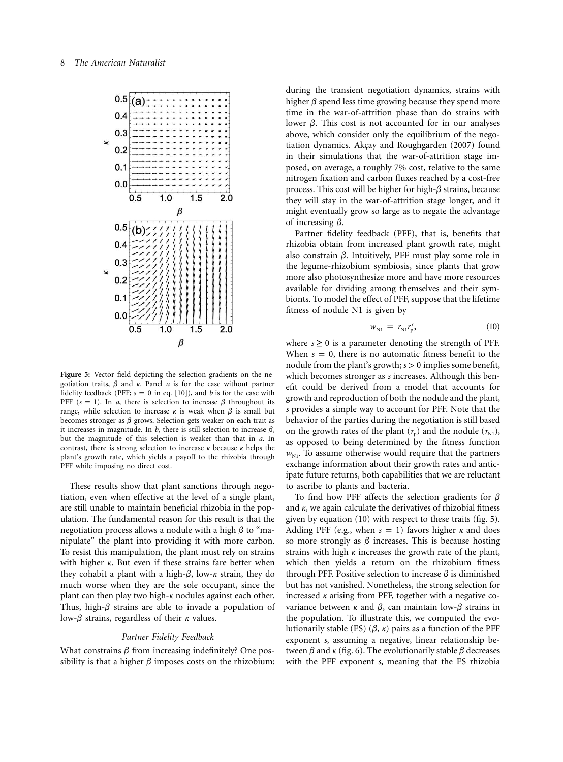

**Figure 5:** Vector field depicting the selection gradients on the negotiation traits,  $\beta$  and  $\kappa$ . Panel  $a$  is for the case without partner fidelity feedback (PFF;  $s = 0$  in eq. [10]), and *b* is for the case with PFF  $(s = 1)$ . In *a*, there is selection to increase  $\beta$  throughout its range, while selection to increase  $\kappa$  is weak when  $\beta$  is small but becomes stronger as  $\beta$  grows. Selection gets weaker on each trait as it increases in magnitude. In  $b$ , there is still selection to increase  $\beta$ , but the magnitude of this selection is weaker than that in *a*. In contrast, there is strong selection to increase  $\kappa$  because  $\kappa$  helps the plant's growth rate, which yields a payoff to the rhizobia through PFF while imposing no direct cost.

These results show that plant sanctions through negotiation, even when effective at the level of a single plant, are still unable to maintain beneficial rhizobia in the population. The fundamental reason for this result is that the negotiation process allows a nodule with a high  $\beta$  to "manipulate" the plant into providing it with more carbon. To resist this manipulation, the plant must rely on strains with higher  $\kappa$ . But even if these strains fare better when they cohabit a plant with a high- $\beta$ , low- $\kappa$  strain, they do much worse when they are the sole occupant, since the plant can then play two high- $\kappa$  nodules against each other. Thus, high- $\beta$  strains are able to invade a population of low- $\beta$  strains, regardless of their  $\kappa$  values.

#### *Partner Fidelity Feedback*

What constrains  $\beta$  from increasing indefinitely? One possibility is that a higher  $\beta$  imposes costs on the rhizobium:

during the transient negotiation dynamics, strains with higher  $\beta$  spend less time growing because they spend more time in the war-of-attrition phase than do strains with lower  $\beta$ . This cost is not accounted for in our analyses above, which consider only the equilibrium of the negotiation dynamics. Akçay and Roughgarden (2007) found in their simulations that the war-of-attrition stage imposed, on average, a roughly 7% cost, relative to the same nitrogen fixation and carbon fluxes reached by a cost-free process. This cost will be higher for high- $\beta$  strains, because they will stay in the war-of-attrition stage longer, and it might eventually grow so large as to negate the advantage of increasing  $\beta$ .

Partner fidelity feedback (PFF), that is, benefits that rhizobia obtain from increased plant growth rate, might also constrain  $\beta$ . Intuitively, PFF must play some role in the legume-rhizobium symbiosis, since plants that grow more also photosynthesize more and have more resources available for dividing among themselves and their symbionts. To model the effect of PFF, suppose that the lifetime fitness of nodule N1 is given by

$$
w_{\rm N1} = r_{\rm N1} r_{\rm p}^s, \tag{10}
$$

where  $s \ge 0$  is a parameter denoting the strength of PFF. When  $s = 0$ , there is no automatic fitness benefit to the nodule from the plant's growth;  $s > 0$  implies some benefit, which becomes stronger as *s* increases. Although this benefit could be derived from a model that accounts for growth and reproduction of both the nodule and the plant, *s* provides a simple way to account for PFF. Note that the behavior of the parties during the negotiation is still based on the growth rates of the plant  $(r_p)$  and the nodule  $(r_{\rm N1})$ , as opposed to being determined by the fitness function  $w_{N1}$ . To assume otherwise would require that the partners exchange information about their growth rates and anticipate future returns, both capabilities that we are reluctant to ascribe to plants and bacteria.

To find how PFF affects the selection gradients for  $\beta$ and  $\kappa$ , we again calculate the derivatives of rhizobial fitness given by equation (10) with respect to these traits (fig. 5). Adding PFF (e.g., when  $s = 1$ ) favors higher  $\kappa$  and does so more strongly as  $\beta$  increases. This is because hosting strains with high  $\kappa$  increases the growth rate of the plant, which then yields a return on the rhizobium fitness through PFF. Positive selection to increase  $\beta$  is diminished but has not vanished. Nonetheless, the strong selection for increased  $\kappa$  arising from PFF, together with a negative covariance between  $\kappa$  and  $\beta$ , can maintain low- $\beta$  strains in the population. To illustrate this, we computed the evolutionarily stable (ES)  $(\beta, \kappa)$  pairs as a function of the PFF exponent *s*, assuming a negative, linear relationship between  $\beta$  and  $\kappa$  (fig. 6). The evolutionarily stable  $\beta$  decreases with the PFF exponent *s*, meaning that the ES rhizobia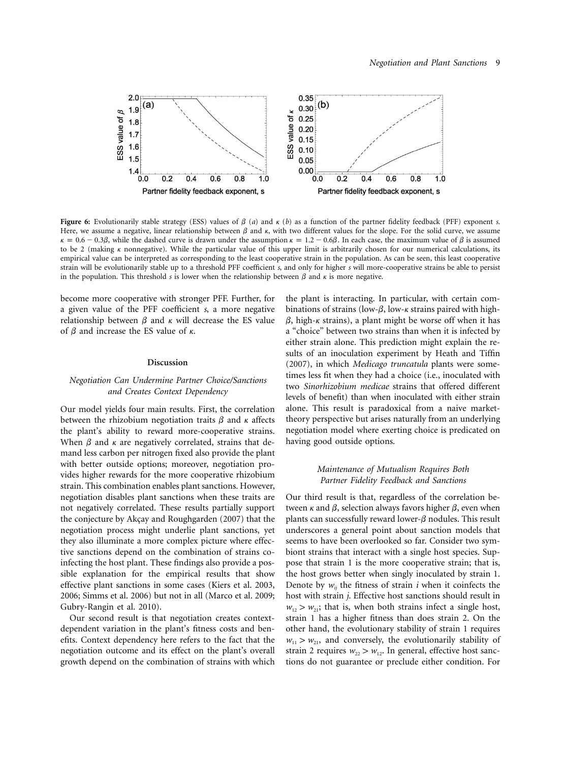

**Figure 6:** Evolutionarily stable strategy (ESS) values of  $\beta$  (*a*) and  $\kappa$  (*b*) as a function of the partner fidelity feedback (PFF) exponent *s*. Here, we assume a negative, linear relationship between  $\beta$  and  $\kappa$ , with two different values for the slope. For the solid curve, we assume  $\kappa = 0.6 - 0.3\beta$ , while the dashed curve is drawn under the assumption  $\kappa = 1.2 - 0.6\beta$ . In each case, the maximum value of  $\beta$  is assumed to be 2 (making  $\kappa$  nonnegative). While the particular value of this upper limit is arbitrarily chosen for our numerical calculations, its empirical value can be interpreted as corresponding to the least cooperative strain in the population. As can be seen, this least cooperative strain will be evolutionarily stable up to a threshold PFF coefficient *s*, and only for higher *s* will more-cooperative strains be able to persist in the population. This threshold *s* is lower when the relationship between  $\beta$  and  $\kappa$  is more negative.

become more cooperative with stronger PFF. Further, for a given value of the PFF coefficient *s*, a more negative relationship between  $\beta$  and  $\kappa$  will decrease the ES value of  $\beta$  and increase the ES value of  $\kappa$ .

#### **Discussion**

#### *Negotiation Can Undermine Partner Choice/Sanctions and Creates Context Dependency*

Our model yields four main results. First, the correlation between the rhizobium negotiation traits  $\beta$  and  $\kappa$  affects the plant's ability to reward more-cooperative strains. When  $\beta$  and  $\kappa$  are negatively correlated, strains that demand less carbon per nitrogen fixed also provide the plant with better outside options; moreover, negotiation provides higher rewards for the more cooperative rhizobium strain. This combination enables plant sanctions. However, negotiation disables plant sanctions when these traits are not negatively correlated. These results partially support the conjecture by Akçay and Roughgarden (2007) that the negotiation process might underlie plant sanctions, yet they also illuminate a more complex picture where effective sanctions depend on the combination of strains coinfecting the host plant. These findings also provide a possible explanation for the empirical results that show effective plant sanctions in some cases (Kiers et al. 2003, 2006; Simms et al. 2006) but not in all (Marco et al. 2009; Gubry-Rangin et al. 2010).

Our second result is that negotiation creates contextdependent variation in the plant's fitness costs and benefits. Context dependency here refers to the fact that the negotiation outcome and its effect on the plant's overall growth depend on the combination of strains with which the plant is interacting. In particular, with certain combinations of strains (low- $\beta$ , low- $\kappa$  strains paired with high- $\beta$ , high- $\kappa$  strains), a plant might be worse off when it has a "choice" between two strains than when it is infected by either strain alone. This prediction might explain the results of an inoculation experiment by Heath and Tiffin (2007), in which *Medicago truncatula* plants were sometimes less fit when they had a choice (i.e., inoculated with two *Sinorhizobium medicae* strains that offered different levels of benefit) than when inoculated with either strain alone. This result is paradoxical from a naive markettheory perspective but arises naturally from an underlying negotiation model where exerting choice is predicated on having good outside options.

#### *Maintenance of Mutualism Requires Both Partner Fidelity Feedback and Sanctions*

Our third result is that, regardless of the correlation between  $\kappa$  and  $\beta$ , selection always favors higher  $\beta$ , even when plants can successfully reward lower- $\beta$  nodules. This result underscores a general point about sanction models that seems to have been overlooked so far. Consider two symbiont strains that interact with a single host species. Suppose that strain 1 is the more cooperative strain; that is, the host grows better when singly inoculated by strain 1. Denote by  $w_{ii}$  the fitness of strain  $i$  when it coinfects the host with strain *j*. Effective host sanctions should result in  $w_{12} > w_{21}$ ; that is, when both strains infect a single host, strain 1 has a higher fitness than does strain 2. On the other hand, the evolutionary stability of strain 1 requires  $w_{11} > w_{21}$ , and conversely, the evolutionarily stability of strain 2 requires  $w_{22} > w_{12}$ . In general, effective host sanctions do not guarantee or preclude either condition. For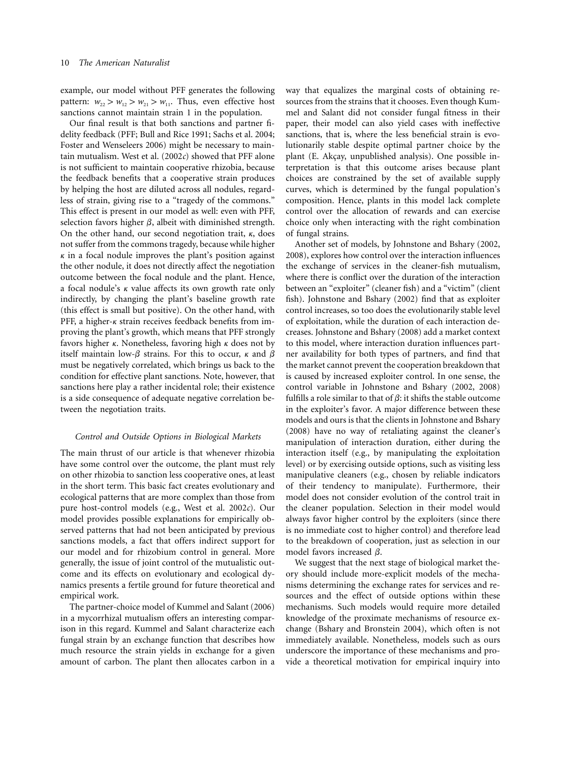example, our model without PFF generates the following pattern:  $w_{22} > w_{12} > w_{21} > w_{11}$ . Thus, even effective host sanctions cannot maintain strain 1 in the population.

Our final result is that both sanctions and partner fidelity feedback (PFF; Bull and Rice 1991; Sachs et al. 2004; Foster and Wenseleers 2006) might be necessary to maintain mutualism. West et al. (2002*c*) showed that PFF alone is not sufficient to maintain cooperative rhizobia, because the feedback benefits that a cooperative strain produces by helping the host are diluted across all nodules, regardless of strain, giving rise to a "tragedy of the commons." This effect is present in our model as well: even with PFF, selection favors higher  $\beta$ , albeit with diminished strength. On the other hand, our second negotiation trait,  $\kappa$ , does not suffer from the commons tragedy, because while higher  $\kappa$  in a focal nodule improves the plant's position against the other nodule, it does not directly affect the negotiation outcome between the focal nodule and the plant. Hence, a focal nodule's  $\kappa$  value affects its own growth rate only indirectly, by changing the plant's baseline growth rate (this effect is small but positive). On the other hand, with PFF, a higher- $\kappa$  strain receives feedback benefits from improving the plant's growth, which means that PFF strongly favors higher  $\kappa$ . Nonetheless, favoring high  $\kappa$  does not by itself maintain low- $\beta$  strains. For this to occur,  $\kappa$  and  $\beta$ must be negatively correlated, which brings us back to the condition for effective plant sanctions. Note, however, that sanctions here play a rather incidental role; their existence is a side consequence of adequate negative correlation between the negotiation traits.

#### *Control and Outside Options in Biological Markets*

The main thrust of our article is that whenever rhizobia have some control over the outcome, the plant must rely on other rhizobia to sanction less cooperative ones, at least in the short term. This basic fact creates evolutionary and ecological patterns that are more complex than those from pure host-control models (e.g., West et al. 2002*c*). Our model provides possible explanations for empirically observed patterns that had not been anticipated by previous sanctions models, a fact that offers indirect support for our model and for rhizobium control in general. More generally, the issue of joint control of the mutualistic outcome and its effects on evolutionary and ecological dynamics presents a fertile ground for future theoretical and empirical work.

The partner-choice model of Kummel and Salant (2006) in a mycorrhizal mutualism offers an interesting comparison in this regard. Kummel and Salant characterize each fungal strain by an exchange function that describes how much resource the strain yields in exchange for a given amount of carbon. The plant then allocates carbon in a way that equalizes the marginal costs of obtaining resources from the strains that it chooses. Even though Kummel and Salant did not consider fungal fitness in their paper, their model can also yield cases with ineffective sanctions, that is, where the less beneficial strain is evolutionarily stable despite optimal partner choice by the plant (E. Akçay, unpublished analysis). One possible interpretation is that this outcome arises because plant choices are constrained by the set of available supply curves, which is determined by the fungal population's composition. Hence, plants in this model lack complete control over the allocation of rewards and can exercise choice only when interacting with the right combination of fungal strains.

Another set of models, by Johnstone and Bshary (2002, 2008), explores how control over the interaction influences the exchange of services in the cleaner-fish mutualism, where there is conflict over the duration of the interaction between an "exploiter" (cleaner fish) and a "victim" (client fish). Johnstone and Bshary (2002) find that as exploiter control increases, so too does the evolutionarily stable level of exploitation, while the duration of each interaction decreases. Johnstone and Bshary (2008) add a market context to this model, where interaction duration influences partner availability for both types of partners, and find that the market cannot prevent the cooperation breakdown that is caused by increased exploiter control. In one sense, the control variable in Johnstone and Bshary (2002, 2008) fulfills a role similar to that of  $\beta$ : it shifts the stable outcome in the exploiter's favor. A major difference between these models and ours is that the clients in Johnstone and Bshary (2008) have no way of retaliating against the cleaner's manipulation of interaction duration, either during the interaction itself (e.g., by manipulating the exploitation level) or by exercising outside options, such as visiting less manipulative cleaners (e.g., chosen by reliable indicators of their tendency to manipulate). Furthermore, their model does not consider evolution of the control trait in the cleaner population. Selection in their model would always favor higher control by the exploiters (since there is no immediate cost to higher control) and therefore lead to the breakdown of cooperation, just as selection in our model favors increased  $\beta$ .

We suggest that the next stage of biological market theory should include more-explicit models of the mechanisms determining the exchange rates for services and resources and the effect of outside options within these mechanisms. Such models would require more detailed knowledge of the proximate mechanisms of resource exchange (Bshary and Bronstein 2004), which often is not immediately available. Nonetheless, models such as ours underscore the importance of these mechanisms and provide a theoretical motivation for empirical inquiry into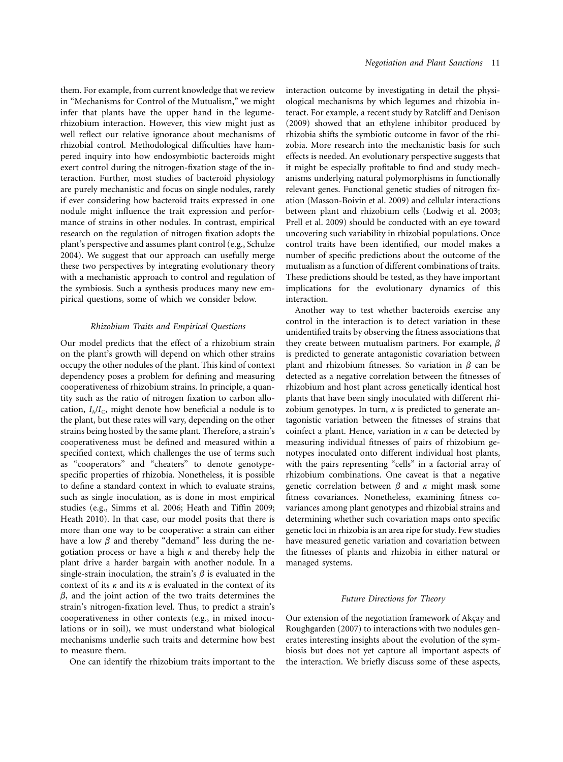them. For example, from current knowledge that we review in "Mechanisms for Control of the Mutualism," we might infer that plants have the upper hand in the legumerhizobium interaction. However, this view might just as well reflect our relative ignorance about mechanisms of rhizobial control. Methodological difficulties have hampered inquiry into how endosymbiotic bacteroids might exert control during the nitrogen-fixation stage of the interaction. Further, most studies of bacteroid physiology are purely mechanistic and focus on single nodules, rarely if ever considering how bacteroid traits expressed in one nodule might influence the trait expression and performance of strains in other nodules. In contrast, empirical research on the regulation of nitrogen fixation adopts the plant's perspective and assumes plant control (e.g., Schulze 2004). We suggest that our approach can usefully merge these two perspectives by integrating evolutionary theory with a mechanistic approach to control and regulation of the symbiosis. Such a synthesis produces many new empirical questions, some of which we consider below.

#### *Rhizobium Traits and Empirical Questions*

Our model predicts that the effect of a rhizobium strain on the plant's growth will depend on which other strains occupy the other nodules of the plant. This kind of context dependency poses a problem for defining and measuring cooperativeness of rhizobium strains. In principle, a quantity such as the ratio of nitrogen fixation to carbon allocation,  $I_A/I_C$ , might denote how beneficial a nodule is to the plant, but these rates will vary, depending on the other strains being hosted by the same plant. Therefore, a strain's cooperativeness must be defined and measured within a specified context, which challenges the use of terms such as "cooperators" and "cheaters" to denote genotypespecific properties of rhizobia. Nonetheless, it is possible to define a standard context in which to evaluate strains, such as single inoculation, as is done in most empirical studies (e.g., Simms et al. 2006; Heath and Tiffin 2009; Heath 2010). In that case, our model posits that there is more than one way to be cooperative: a strain can either have a low  $\beta$  and thereby "demand" less during the negotiation process or have a high  $\kappa$  and thereby help the plant drive a harder bargain with another nodule. In a single-strain inoculation, the strain's  $\beta$  is evaluated in the context of its  $\kappa$  and its  $\kappa$  is evaluated in the context of its  $\beta$ , and the joint action of the two traits determines the strain's nitrogen-fixation level. Thus, to predict a strain's cooperativeness in other contexts (e.g., in mixed inoculations or in soil), we must understand what biological mechanisms underlie such traits and determine how best to measure them.

One can identify the rhizobium traits important to the

interaction outcome by investigating in detail the physiological mechanisms by which legumes and rhizobia interact. For example, a recent study by Ratcliff and Denison (2009) showed that an ethylene inhibitor produced by rhizobia shifts the symbiotic outcome in favor of the rhizobia. More research into the mechanistic basis for such effects is needed. An evolutionary perspective suggests that it might be especially profitable to find and study mechanisms underlying natural polymorphisms in functionally relevant genes. Functional genetic studies of nitrogen fixation (Masson-Boivin et al. 2009) and cellular interactions between plant and rhizobium cells (Lodwig et al. 2003; Prell et al. 2009) should be conducted with an eye toward uncovering such variability in rhizobial populations. Once control traits have been identified, our model makes a number of specific predictions about the outcome of the mutualism as a function of different combinations of traits. These predictions should be tested, as they have important implications for the evolutionary dynamics of this interaction.

Another way to test whether bacteroids exercise any control in the interaction is to detect variation in these unidentified traits by observing the fitness associations that they create between mutualism partners. For example,  $\beta$ is predicted to generate antagonistic covariation between plant and rhizobium fitnesses. So variation in  $\beta$  can be detected as a negative correlation between the fitnesses of rhizobium and host plant across genetically identical host plants that have been singly inoculated with different rhizobium genotypes. In turn,  $\kappa$  is predicted to generate antagonistic variation between the fitnesses of strains that coinfect a plant. Hence, variation in  $\kappa$  can be detected by measuring individual fitnesses of pairs of rhizobium genotypes inoculated onto different individual host plants, with the pairs representing "cells" in a factorial array of rhizobium combinations. One caveat is that a negative genetic correlation between  $\beta$  and  $\kappa$  might mask some fitness covariances. Nonetheless, examining fitness covariances among plant genotypes and rhizobial strains and determining whether such covariation maps onto specific genetic loci in rhizobia is an area ripe for study. Few studies have measured genetic variation and covariation between the fitnesses of plants and rhizobia in either natural or managed systems.

#### *Future Directions for Theory*

Our extension of the negotiation framework of Akçay and Roughgarden (2007) to interactions with two nodules generates interesting insights about the evolution of the symbiosis but does not yet capture all important aspects of the interaction. We briefly discuss some of these aspects,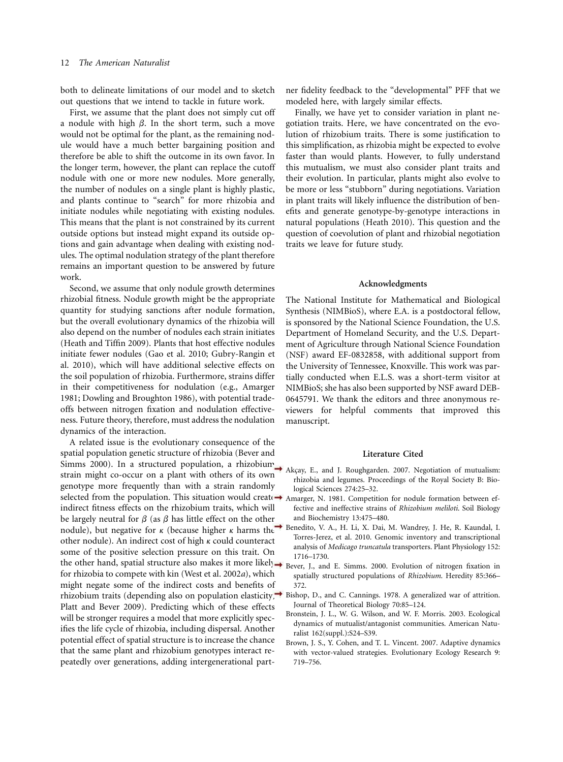both to delineate limitations of our model and to sketch out questions that we intend to tackle in future work.

First, we assume that the plant does not simply cut off a nodule with high  $\beta$ . In the short term, such a move would not be optimal for the plant, as the remaining nodule would have a much better bargaining position and therefore be able to shift the outcome in its own favor. In the longer term, however, the plant can replace the cutoff nodule with one or more new nodules. More generally, the number of nodules on a single plant is highly plastic, and plants continue to "search" for more rhizobia and initiate nodules while negotiating with existing nodules. This means that the plant is not constrained by its current outside options but instead might expand its outside options and gain advantage when dealing with existing nodules. The optimal nodulation strategy of the plant therefore remains an important question to be answered by future work.

Second, we assume that only nodule growth determines rhizobial fitness. Nodule growth might be the appropriate quantity for studying sanctions after nodule formation, but the overall evolutionary dynamics of the rhizobia will also depend on the number of nodules each strain initiates (Heath and Tiffin 2009). Plants that host effective nodules initiate fewer nodules (Gao et al. 2010; Gubry-Rangin et al. 2010), which will have additional selective effects on the soil population of rhizobia. Furthermore, strains differ in their competitiveness for nodulation (e.g., Amarger 1981; Dowling and Broughton 1986), with potential tradeoffs between nitrogen fixation and nodulation effectiveness. Future theory, therefore, must address the nodulation dynamics of the interaction.

A related issue is the evolutionary consequence of the spatial population genetic structure of rhizobia (Bever and Simms 2000). In a structured population, a rhizobium strain might co-occur on a plant with others of its own genotype more frequently than with a strain randomly selected from the population. This situation would create  $\rightarrow$  Amarger, N. 1981. Competition for nodule formation between efindirect fitness effects on the rhizobium traits, which will be largely neutral for  $\beta$  (as  $\beta$  has little effect on the other nodule), but negative for  $\kappa$  (because higher  $\kappa$  harms the other nodule). An indirect cost of high  $\kappa$  could counteract some of the positive selection pressure on this trait. On the other hand, spatial structure also makes it more likely Bever, J., and E. Simms. 2000. Evolution of nitrogen fixation in for rhizobia to compete with kin (West et al. 2002*a*), which might negate some of the indirect costs and benefits of rhizobium traits (depending also on population elasticity; Bishop, D., and C. Cannings. 1978. A generalized war of attrition. Platt and Bever 2009). Predicting which of these effects will be stronger requires a model that more explicitly specifies the life cycle of rhizobia, including dispersal. Another potential effect of spatial structure is to increase the chance that the same plant and rhizobium genotypes interact repeatedly over generations, adding intergenerational part-

ner fidelity feedback to the "developmental" PFF that we modeled here, with largely similar effects.

Finally, we have yet to consider variation in plant negotiation traits. Here, we have concentrated on the evolution of rhizobium traits. There is some justification to this simplification, as rhizobia might be expected to evolve faster than would plants. However, to fully understand this mutualism, we must also consider plant traits and their evolution. In particular, plants might also evolve to be more or less "stubborn" during negotiations. Variation in plant traits will likely influence the distribution of benefits and generate genotype-by-genotype interactions in natural populations (Heath 2010). This question and the question of coevolution of plant and rhizobial negotiation traits we leave for future study.

#### **Acknowledgments**

The National Institute for Mathematical and Biological Synthesis (NIMBioS), where E.A. is a postdoctoral fellow, is sponsored by the National Science Foundation, the U.S. Department of Homeland Security, and the U.S. Department of Agriculture through National Science Foundation (NSF) award EF-0832858, with additional support from the University of Tennessee, Knoxville. This work was partially conducted when E.L.S. was a short-term visitor at NIMBioS; she has also been supported by NSF award DEB-0645791. We thank the editors and three anonymous reviewers for helpful comments that improved this manuscript.

#### **Literature Cited**

- Akçay, E., and J. Roughgarden. 2007. Negotiation of mutualism: rhizobia and legumes. Proceedings of the Royal Society B: Biological Sciences 274:25–32.
- fective and ineffective strains of *Rhizobium meliloti*. Soil Biology and Biochemistry 13:475–480.
- Benedito, V. A., H. Li, X. Dai, M. Wandrey, J. He, R. Kaundal, I. Torres-Jerez, et al. 2010. Genomic inventory and transcriptional analysis of *Medicago truncatula* transporters. Plant Physiology 152: 1716–1730.
- spatially structured populations of *Rhizobium*. Heredity 85:366– 372.
- Journal of Theoretical Biology 70:85–124.
- Bronstein, J. L., W. G. Wilson, and W. F. Morris. 2003. Ecological dynamics of mutualist/antagonist communities. American Naturalist 162(suppl.):S24–S39.
- Brown, J. S., Y. Cohen, and T. L. Vincent. 2007. Adaptive dynamics with vector-valued strategies. Evolutionary Ecology Research 9: 719–756.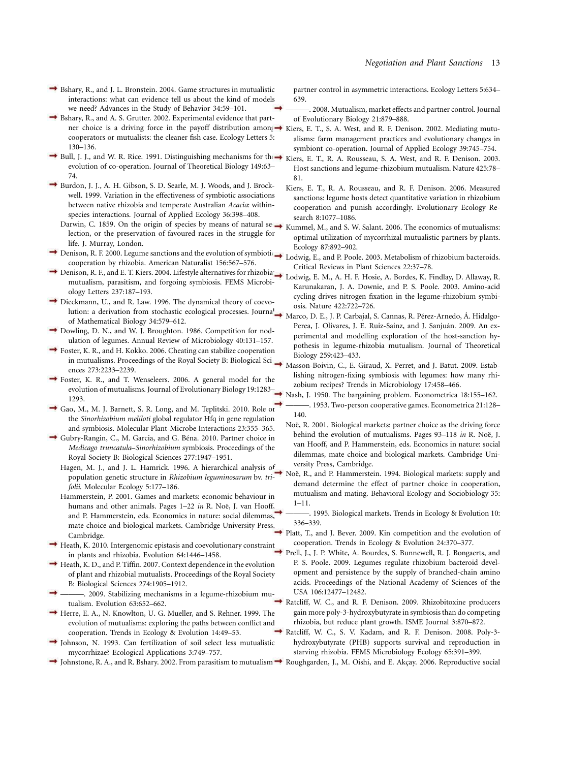- Bshary, R., and J. L. Bronstein. 2004. Game structures in mutualistic interactions: what can evidence tell us about the kind of models we need? Advances in the Study of Behavior 34:59–101.
- Bshary, R., and A. S. Grutter. 2002. Experimental evidence that partner choice is a driving force in the payoff distribution among in Kiers, E. T., S. A. West, and R. F. Denison. 2002. Mediating mutucooperators or mutualists: the cleaner fish case. Ecology Letters 5: 130–136.
- Bull, J. J., and W. R. Rice. 1991. Distinguishing mechanisms for the Kiers, E. T., R. A. Rousseau, S. A. West, and R. F. Denison. 2003. evolution of co-operation. Journal of Theoretical Biology 149:63– 74.
- Burdon, J. J., A. H. Gibson, S. D. Searle, M. J. Woods, and J. Brockwell. 1999. Variation in the effectiveness of symbiotic associations between native rhizobia and temperate Australian *Acacia*: withinspecies interactions. Journal of Applied Ecology 36:398–408.
	- Darwin, C. 1859. On the origin of species by means of natural se $\rightarrow$ lection, or the preservation of favoured races in the struggle for life. J. Murray, London.
- Ecology 87:892–902.<br>Denison, R. F. 2000. Legume sanctions and the evolution of symbiotic  $\rightarrow$  Lodwig E and P Pool cooperation by rhizobia. American Naturalist 156:567–576.
- Denison, R. F., and E. T. Kiers. 2004. Lifestyle alternatives for rhizobia  $\rightarrow$ mutualism, parasitism, and forgoing symbiosis. FEMS Microbiology Letters 237:187–193.
- Dieckmann, U., and R. Law. 1996. The dynamical theory of coevolution: a derivation from stochastic ecological processes. Journal of Mathematical Biology 34:579–612.
- Dowling, D. N., and W. J. Broughton. 1986. Competition for nodulation of legumes. Annual Review of Microbiology 40:131–157.
- Foster, K. R., and H. Kokko. 2006. Cheating can stabilize cooperation in mutualisms. Proceedings of the Royal Society B: Biological Sciences 273:2233–2239.
- Foster, K. R., and T. Wenseleers. 2006. A general model for the evolution of mutualisms. Journal of Evolutionary Biology 19:1283– 1293.
- Gao, M., M. J. Barnett, S. R. Long, and M. Teplitski. 2010. Role of the *Sinorhizobium meliloti* global regulator Hfq in gene regulation and symbiosis. Molecular Plant-Microbe Interactions 23:355–365.
- Gubry-Rangin, C., M. Garcia, and G. Béna. 2010. Partner choice in *Medicago truncatula*–*Sinorhizobium* symbiosis. Proceedings of the Royal Society B: Biological Sciences 277:1947–1951.
	- Hagen, M. J., and J. L. Hamrick. 1996. A hierarchical analysis of population genetic structure in *Rhizobium leguminosarum* bv. *trifolii*. Molecular Ecology 5:177–186.
	- Hammerstein, P. 2001. Games and markets: economic behaviour in humans and other animals. Pages 1–22 in R. Noë, J. van Hooff. and P. Hammerstein, eds. Economics in nature: social dilemmas, mate choice and biological markets. Cambridge University Press, Cambridge.
- Heath, K. 2010. Intergenomic epistasis and coevolutionary constraint in plants and rhizobia. Evolution 64:1446–1458.
- Heath, K. D., and P. Tiffin. 2007. Context dependence in the evolution of plant and rhizobial mutualists. Proceedings of the Royal Society B: Biological Sciences 274:1905–1912.
- ———. 2009. Stabilizing mechanisms in a legume-rhizobium mutualism. Evolution 63:652–662.
- Herre, E. A., N. Knowlton, U. G. Mueller, and S. Rehner. 1999. The evolution of mutualisms: exploring the paths between conflict and cooperation. Trends in Ecology & Evolution 14:49–53.
- Johnson, N. 1993. Can fertilization of soil select less mutualistic mycorrhizae? Ecological Applications 3:749–757.
- Johnstone, R. A., and R. Bshary. 2002. From parasitism to mutualism  $\rightarrow$  Roughgarden, J., M. Oishi, and E. Akçay. 2006. Reproductive social

partner control in asymmetric interactions. Ecology Letters 5:634– 639.

- . 2008. Mutualism, market effects and partner control. Journal of Evolutionary Biology 21:879–888.
- alisms: farm management practices and evolutionary changes in symbiont co-operation. Journal of Applied Ecology 39:745–754.
- Host sanctions and legume-rhizobium mutualism. Nature 425:78– 81.
- Kiers, E. T., R. A. Rousseau, and R. F. Denison. 2006. Measured sanctions: legume hosts detect quantitative variation in rhizobium cooperation and punish accordingly. Evolutionary Ecology Research 8:1077–1086.
- Kummel, M., and S. W. Salant. 2006. The economics of mutualisms: optimal utilization of mycorrhizal mutualistic partners by plants.
- Lodwig, E., and P. Poole. 2003. Metabolism of rhizobium bacteroids. Critical Reviews in Plant Sciences 22:37–78.
- Lodwig, E. M., A. H. F. Hosie, A. Bordes, K. Findlay, D. Allaway, R. Karunakaran, J. A. Downie, and P. S. Poole. 2003. Amino-acid cycling drives nitrogen fixation in the legume-rhizobium symbiosis. Nature 422:722–726.
- Marco, D. E., J. P. Carbajal, S. Cannas, R. Pérez-Arnedo, Á. Hidalgo-Perea, J. Olivares, J. E. Ruiz-Sainz, and J. Sanjuán. 2009. An experimental and modelling exploration of the host-sanction hypothesis in legume-rhizobia mutualism. Journal of Theoretical Biology 259:423–433.
- Masson-Boivin, C., E. Giraud, X. Perret, and J. Batut. 2009. Establishing nitrogen-fixing symbiosis with legumes: how many rhizobium recipes? Trends in Microbiology 17:458–466.
- Nash, J. 1950. The bargaining problem. Econometrica 18:155–162. ———. 1953. Two-person cooperative games. Econometrica 21:128– 140.
	- Noë, R. 2001. Biological markets: partner choice as the driving force behind the evolution of mutualisms. Pages 93–118 *in* R. Noë, J. van Hooff, and P. Hammerstein, eds. Economics in nature: social dilemmas, mate choice and biological markets. Cambridge University Press, Cambridge.
	- Noë, R., and P. Hammerstein. 1994. Biological markets: supply and demand determine the effect of partner choice in cooperation, mutualism and mating. Behavioral Ecology and Sociobiology 35: 1–11.
		- . 1995. Biological markets. Trends in Ecology & Evolution 10: 336–339.
- Platt, T., and J. Bever. 2009. Kin competition and the evolution of cooperation. Trends in Ecology & Evolution 24:370–377.
- Prell, J., J. P. White, A. Bourdes, S. Bunnewell, R. J. Bongaerts, and P. S. Poole. 2009. Legumes regulate rhizobium bacteroid development and persistence by the supply of branched-chain amino acids. Proceedings of the National Academy of Sciences of the USA 106:12477–12482.
	- Ratcliff, W. C., and R. F. Denison. 2009. Rhizobitoxine producers gain more poly-3-hydroxybutyrate in symbiosis than do competing rhizobia, but reduce plant growth. ISME Journal 3:870–872.
- Ratcliff, W. C., S. V. Kadam, and R. F. Denison. 2008. Poly-3 hydroxybutyrate (PHB) supports survival and reproduction in starving rhizobia. FEMS Microbiology Ecology 65:391–399.
-